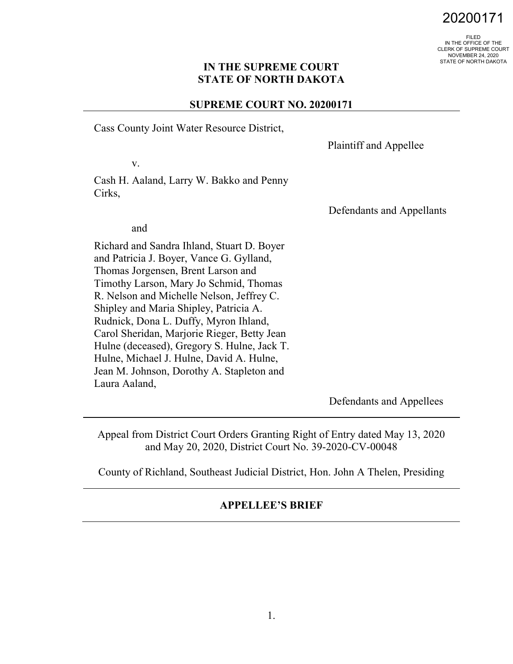# 20200171

FILED IN THE OFFICE OF THE CLERK OF SUPREME COURT NOVEMBER 24, 2020 STATE OF NORTH DAKOTA

#### **IN THE SUPREME COURT STATE OF NORTH DAKOTA**

#### **SUPREME COURT NO. 20200171**

Cass County Joint Water Resource District,

Plaintiff and Appellee

v.

Cash H. Aaland, Larry W. Bakko and Penny Cirks,

Defendants and Appellants

and

Richard and Sandra Ihland, Stuart D. Boyer and Patricia J. Boyer, Vance G. Gylland, Thomas Jorgensen, Brent Larson and Timothy Larson, Mary Jo Schmid, Thomas R. Nelson and Michelle Nelson, Jeffrey C. Shipley and Maria Shipley, Patricia A. Rudnick, Dona L. Duffy, Myron Ihland, Carol Sheridan, Marjorie Rieger, Betty Jean Hulne (deceased), Gregory S. Hulne, Jack T. Hulne, Michael J. Hulne, David A. Hulne, Jean M. Johnson, Dorothy A. Stapleton and Laura Aaland,

Defendants and Appellees

Appeal from District Court Orders Granting Right of Entry dated May 13, 2020 and May 20, 2020, District Court No. 39-2020-CV-00048

County of Richland, Southeast Judicial District, Hon. John A Thelen, Presiding

#### **APPELLEE'S BRIEF**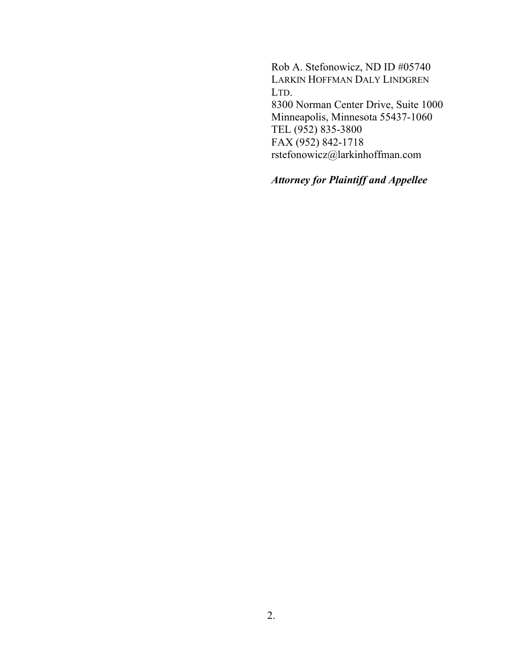Rob A. Stefonowicz, ND ID #05740 LARKIN HOFFMAN DALY LINDGREN LTD. 8300 Norman Center Drive, Suite 1000 Minneapolis, Minnesota 55437-1060 TEL (952) 835-3800 FAX (952) 842-1718 rstefonowicz@larkinhoffman.com

*Attorney for Plaintiff and Appellee*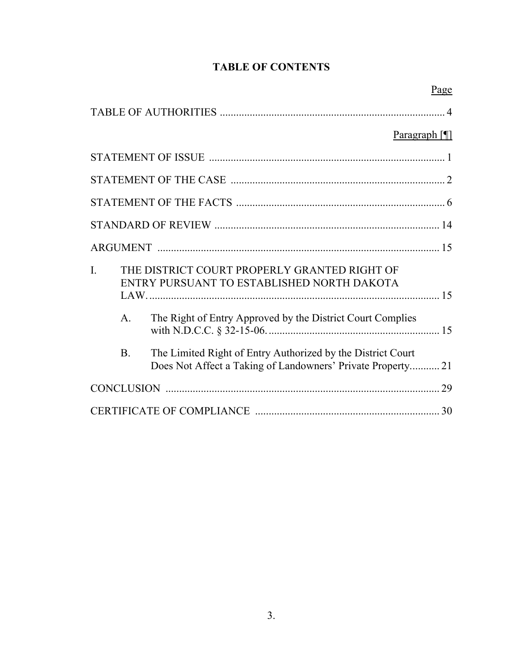## **TABLE OF CONTENTS**

|                                  | Page                                                                                                                                                     |
|----------------------------------|----------------------------------------------------------------------------------------------------------------------------------------------------------|
|                                  |                                                                                                                                                          |
|                                  | Paragraph $\P$                                                                                                                                           |
|                                  |                                                                                                                                                          |
|                                  |                                                                                                                                                          |
|                                  |                                                                                                                                                          |
|                                  |                                                                                                                                                          |
|                                  |                                                                                                                                                          |
| $\mathbf{I}$ .<br>$\mathsf{A}$ . | THE DISTRICT COURT PROPERLY GRANTED RIGHT OF<br>ENTRY PURSUANT TO ESTABLISHED NORTH DAKOTA<br>The Right of Entry Approved by the District Court Complies |
| <b>B.</b>                        | The Limited Right of Entry Authorized by the District Court<br>Does Not Affect a Taking of Landowners' Private Property 21                               |
|                                  |                                                                                                                                                          |
|                                  |                                                                                                                                                          |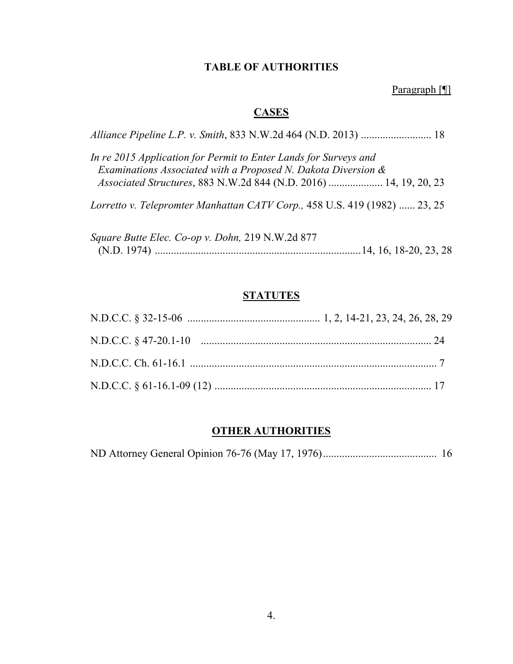## **TABLE OF AUTHORITIES**

Paragraph [¶]

## **CASES**

| In re 2015 Application for Permit to Enter Lands for Surveys and<br>Examinations Associated with a Proposed N. Dakota Diversion & |
|-----------------------------------------------------------------------------------------------------------------------------------|
| Associated Structures, 883 N.W.2d 844 (N.D. 2016)  14, 19, 20, 23                                                                 |
| Lorretto v. Telepromter Manhattan CATV Corp., 458 U.S. 419 (1982)  23, 25                                                         |
| Square Butte Elec. Co-op v. Dohn, 219 N.W.2d 877                                                                                  |
|                                                                                                                                   |

## **STATUTES**

# **OTHER AUTHORITIES**

ND Attorney General Opinion 76-76 (May 17, 1976).......................................... 16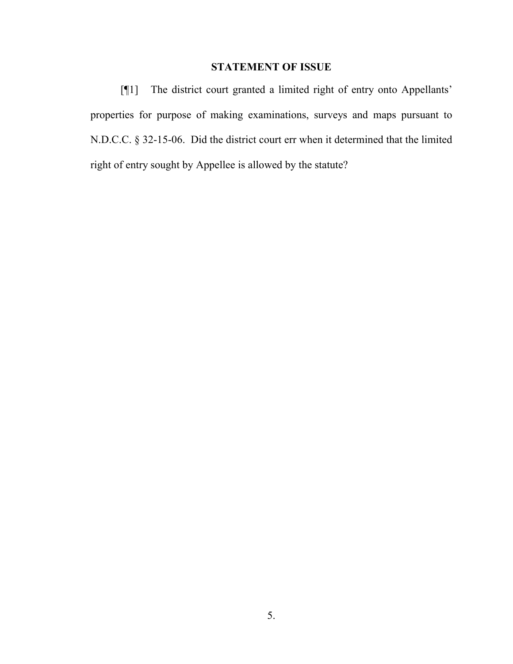## **STATEMENT OF ISSUE**

[¶1] The district court granted a limited right of entry onto Appellants' properties for purpose of making examinations, surveys and maps pursuant to N.D.C.C. § 32-15-06. Did the district court err when it determined that the limited right of entry sought by Appellee is allowed by the statute?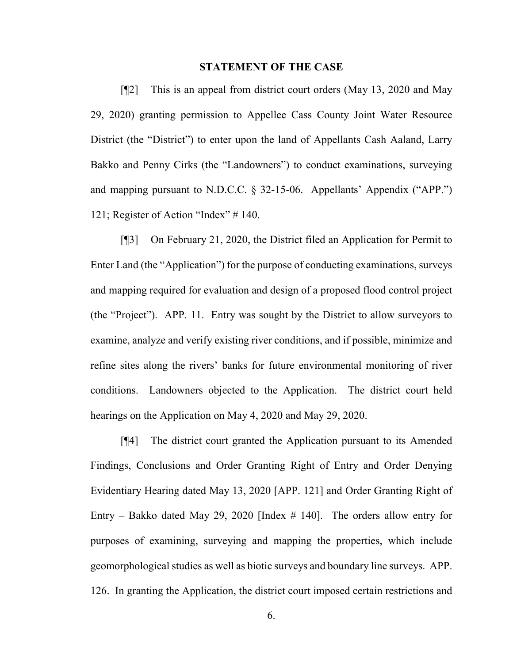#### **STATEMENT OF THE CASE**

[¶2] This is an appeal from district court orders (May 13, 2020 and May 29, 2020) granting permission to Appellee Cass County Joint Water Resource District (the "District") to enter upon the land of Appellants Cash Aaland, Larry Bakko and Penny Cirks (the "Landowners") to conduct examinations, surveying and mapping pursuant to N.D.C.C. § 32-15-06. Appellants' Appendix ("APP.") 121; Register of Action "Index" # 140.

[¶3] On February 21, 2020, the District filed an Application for Permit to Enter Land (the "Application") for the purpose of conducting examinations, surveys and mapping required for evaluation and design of a proposed flood control project (the "Project"). APP. 11. Entry was sought by the District to allow surveyors to examine, analyze and verify existing river conditions, and if possible, minimize and refine sites along the rivers' banks for future environmental monitoring of river conditions. Landowners objected to the Application. The district court held hearings on the Application on May 4, 2020 and May 29, 2020.

[¶4] The district court granted the Application pursuant to its Amended Findings, Conclusions and Order Granting Right of Entry and Order Denying Evidentiary Hearing dated May 13, 2020 [APP. 121] and Order Granting Right of Entry – Bakko dated May 29, 2020 [Index # 140]. The orders allow entry for purposes of examining, surveying and mapping the properties, which include geomorphological studies as well as biotic surveys and boundary line surveys. APP. 126. In granting the Application, the district court imposed certain restrictions and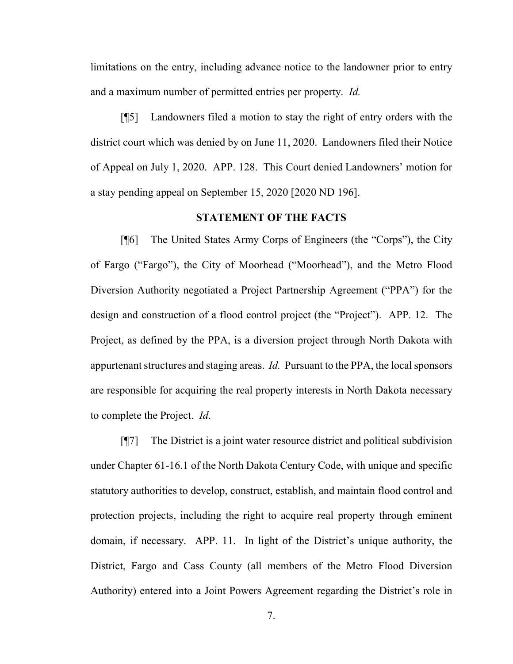limitations on the entry, including advance notice to the landowner prior to entry and a maximum number of permitted entries per property. *Id.*

[¶5] Landowners filed a motion to stay the right of entry orders with the district court which was denied by on June 11, 2020. Landowners filed their Notice of Appeal on July 1, 2020. APP. 128. This Court denied Landowners' motion for a stay pending appeal on September 15, 2020 [2020 ND 196].

#### **STATEMENT OF THE FACTS**

[¶6] The United States Army Corps of Engineers (the "Corps"), the City of Fargo ("Fargo"), the City of Moorhead ("Moorhead"), and the Metro Flood Diversion Authority negotiated a Project Partnership Agreement ("PPA") for the design and construction of a flood control project (the "Project"). APP. 12. The Project, as defined by the PPA, is a diversion project through North Dakota with appurtenant structures and staging areas. *Id.* Pursuant to the PPA, the local sponsors are responsible for acquiring the real property interests in North Dakota necessary to complete the Project. *Id*.

[¶7] The District is a joint water resource district and political subdivision under Chapter 61-16.1 of the North Dakota Century Code, with unique and specific statutory authorities to develop, construct, establish, and maintain flood control and protection projects, including the right to acquire real property through eminent domain, if necessary. APP. 11. In light of the District's unique authority, the District, Fargo and Cass County (all members of the Metro Flood Diversion Authority) entered into a Joint Powers Agreement regarding the District's role in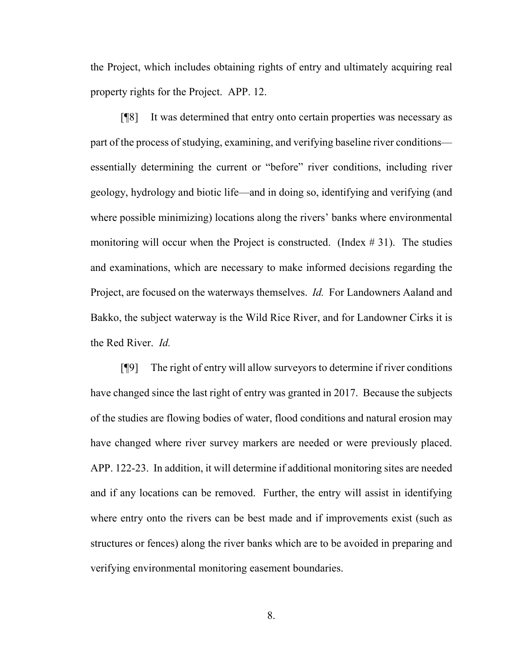the Project, which includes obtaining rights of entry and ultimately acquiring real property rights for the Project. APP. 12.

[¶8] It was determined that entry onto certain properties was necessary as part of the process of studying, examining, and verifying baseline river conditions essentially determining the current or "before" river conditions, including river geology, hydrology and biotic life—and in doing so, identifying and verifying (and where possible minimizing) locations along the rivers' banks where environmental monitoring will occur when the Project is constructed. (Index  $\# 31$ ). The studies and examinations, which are necessary to make informed decisions regarding the Project, are focused on the waterways themselves. *Id.* For Landowners Aaland and Bakko, the subject waterway is the Wild Rice River, and for Landowner Cirks it is the Red River. *Id.* 

[¶9] The right of entry will allow surveyors to determine if river conditions have changed since the last right of entry was granted in 2017. Because the subjects of the studies are flowing bodies of water, flood conditions and natural erosion may have changed where river survey markers are needed or were previously placed. APP. 122-23. In addition, it will determine if additional monitoring sites are needed and if any locations can be removed. Further, the entry will assist in identifying where entry onto the rivers can be best made and if improvements exist (such as structures or fences) along the river banks which are to be avoided in preparing and verifying environmental monitoring easement boundaries.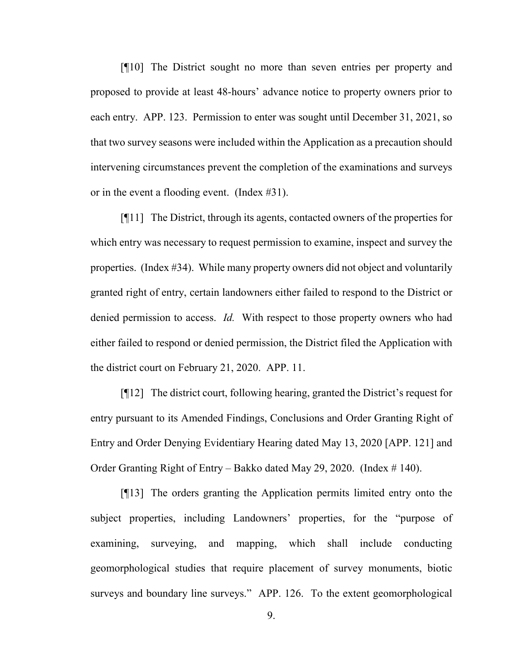[¶10] The District sought no more than seven entries per property and proposed to provide at least 48-hours' advance notice to property owners prior to each entry. APP. 123. Permission to enter was sought until December 31, 2021, so that two survey seasons were included within the Application as a precaution should intervening circumstances prevent the completion of the examinations and surveys or in the event a flooding event. (Index #31).

[¶11] The District, through its agents, contacted owners of the properties for which entry was necessary to request permission to examine, inspect and survey the properties. (Index #34). While many property owners did not object and voluntarily granted right of entry, certain landowners either failed to respond to the District or denied permission to access. *Id.* With respect to those property owners who had either failed to respond or denied permission, the District filed the Application with the district court on February 21, 2020. APP. 11.

[¶12] The district court, following hearing, granted the District's request for entry pursuant to its Amended Findings, Conclusions and Order Granting Right of Entry and Order Denying Evidentiary Hearing dated May 13, 2020 [APP. 121] and Order Granting Right of Entry – Bakko dated May 29, 2020. (Index # 140).

[¶13] The orders granting the Application permits limited entry onto the subject properties, including Landowners' properties, for the "purpose of examining, surveying, and mapping, which shall include conducting geomorphological studies that require placement of survey monuments, biotic surveys and boundary line surveys." APP. 126. To the extent geomorphological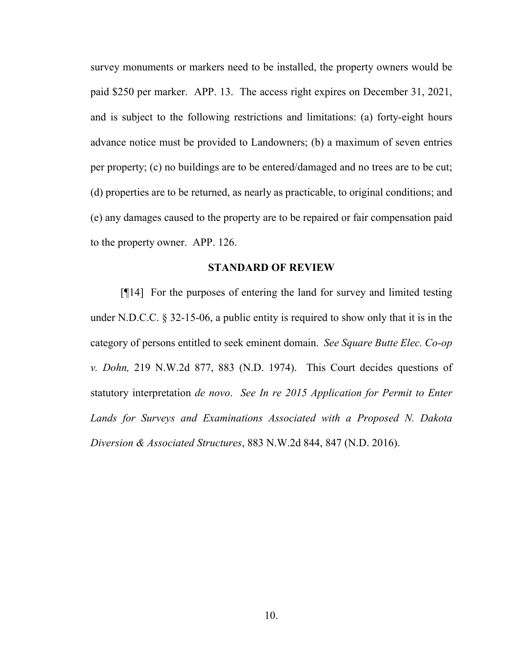survey monuments or markers need to be installed, the property owners would be paid \$250 per marker. APP. 13. The access right expires on December 31, 2021, and is subject to the following restrictions and limitations: (a) forty-eight hours advance notice must be provided to Landowners; (b) a maximum of seven entries per property; (c) no buildings are to be entered/damaged and no trees are to be cut; (d) properties are to be returned, as nearly as practicable, to original conditions; and (e) any damages caused to the property are to be repaired or fair compensation paid to the property owner. APP. 126.

#### **STANDARD OF REVIEW**

[¶14] For the purposes of entering the land for survey and limited testing under N.D.C.C. § 32-15-06, a public entity is required to show only that it is in the category of persons entitled to seek eminent domain. *See Square Butte Elec. Co-op v. Dohn,* 219 N.W.2d 877, 883 (N.D. 1974). This Court decides questions of statutory interpretation *de novo*. *See In re 2015 Application for Permit to Enter Lands for Surveys and Examinations Associated with a Proposed N. Dakota Diversion & Associated Structures*, 883 N.W.2d 844, 847 (N.D. 2016).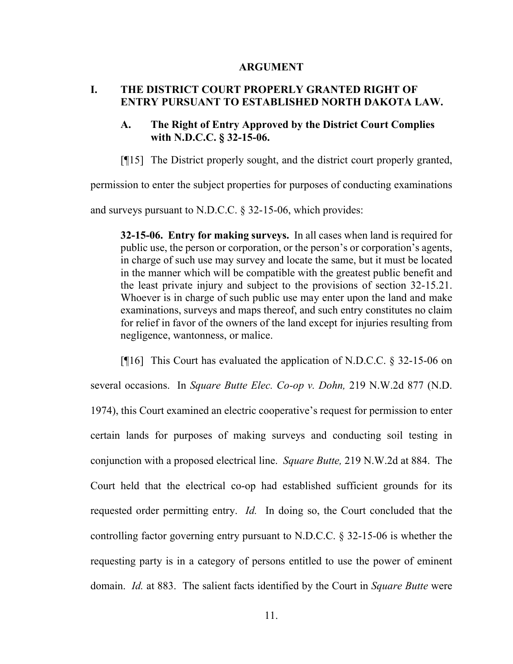#### **ARGUMENT**

### **I. THE DISTRICT COURT PROPERLY GRANTED RIGHT OF ENTRY PURSUANT TO ESTABLISHED NORTH DAKOTA LAW.**

### **A. The Right of Entry Approved by the District Court Complies with N.D.C.C. § 32-15-06.**

[¶15] The District properly sought, and the district court properly granted,

permission to enter the subject properties for purposes of conducting examinations

and surveys pursuant to N.D.C.C. § 32-15-06, which provides:

**32-15-06. Entry for making surveys.** In all cases when land is required for public use, the person or corporation, or the person's or corporation's agents, in charge of such use may survey and locate the same, but it must be located in the manner which will be compatible with the greatest public benefit and the least private injury and subject to the provisions of section 32-15.21. Whoever is in charge of such public use may enter upon the land and make examinations, surveys and maps thereof, and such entry constitutes no claim for relief in favor of the owners of the land except for injuries resulting from negligence, wantonness, or malice.

[¶16] This Court has evaluated the application of N.D.C.C. § 32-15-06 on several occasions. In *Square Butte Elec. Co-op v. Dohn,* 219 N.W.2d 877 (N.D. 1974), this Court examined an electric cooperative's request for permission to enter certain lands for purposes of making surveys and conducting soil testing in conjunction with a proposed electrical line. *Square Butte,* 219 N.W.2d at 884. The Court held that the electrical co-op had established sufficient grounds for its requested order permitting entry. *Id.* In doing so, the Court concluded that the controlling factor governing entry pursuant to N.D.C.C. § 32-15-06 is whether the requesting party is in a category of persons entitled to use the power of eminent domain. *Id.* at 883. The salient facts identified by the Court in *Square Butte* were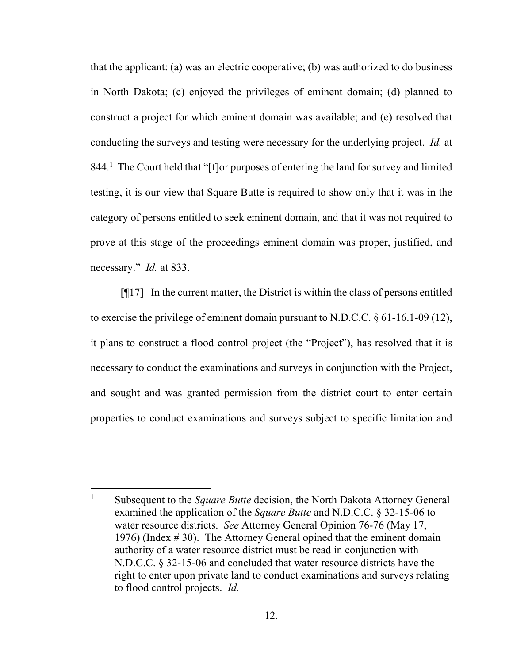that the applicant: (a) was an electric cooperative; (b) was authorized to do business in North Dakota; (c) enjoyed the privileges of eminent domain; (d) planned to construct a project for which eminent domain was available; and (e) resolved that conducting the surveys and testing were necessary for the underlying project. *Id.* at 844.<sup>1</sup> The Court held that "[f]or purposes of entering the land for survey and limited testing, it is our view that Square Butte is required to show only that it was in the category of persons entitled to seek eminent domain, and that it was not required to prove at this stage of the proceedings eminent domain was proper, justified, and necessary." *Id.* at 833.

 $[$ [17] In the current matter, the District is within the class of persons entitled to exercise the privilege of eminent domain pursuant to N.D.C.C.  $\S$  61-16.1-09 (12), it plans to construct a flood control project (the "Project"), has resolved that it is necessary to conduct the examinations and surveys in conjunction with the Project, and sought and was granted permission from the district court to enter certain properties to conduct examinations and surveys subject to specific limitation and

 $\overline{a}$ 

<sup>&</sup>lt;sup>1</sup> Subsequent to the *Square Butte* decision, the North Dakota Attorney General examined the application of the *Square Butte* and N.D.C.C. § 32-15-06 to water resource districts. *See* Attorney General Opinion 76-76 (May 17, 1976) (Index # 30). The Attorney General opined that the eminent domain authority of a water resource district must be read in conjunction with N.D.C.C. § 32-15-06 and concluded that water resource districts have the right to enter upon private land to conduct examinations and surveys relating to flood control projects. *Id.*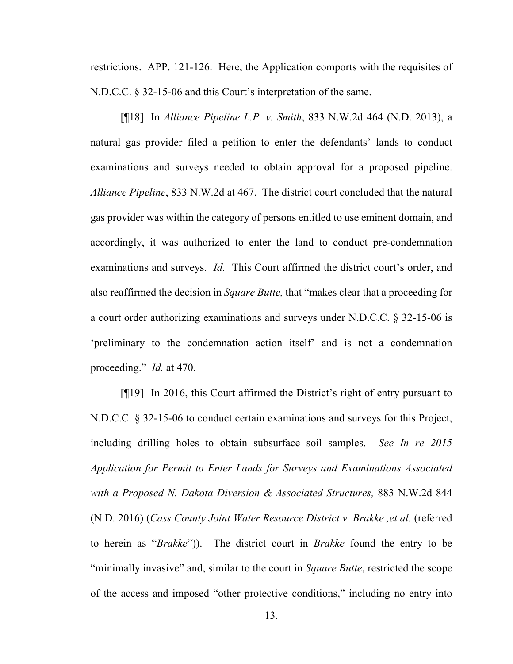restrictions. APP. 121-126. Here, the Application comports with the requisites of N.D.C.C. § 32-15-06 and this Court's interpretation of the same.

[¶18] In *Alliance Pipeline L.P. v. Smith*, 833 N.W.2d 464 (N.D. 2013), a natural gas provider filed a petition to enter the defendants' lands to conduct examinations and surveys needed to obtain approval for a proposed pipeline. *Alliance Pipeline*, 833 N.W.2d at 467. The district court concluded that the natural gas provider was within the category of persons entitled to use eminent domain, and accordingly, it was authorized to enter the land to conduct pre-condemnation examinations and surveys. *Id.* This Court affirmed the district court's order, and also reaffirmed the decision in *Square Butte,* that "makes clear that a proceeding for a court order authorizing examinations and surveys under N.D.C.C. § 32-15-06 is 'preliminary to the condemnation action itself' and is not a condemnation proceeding." *Id.* at 470.

[¶19] In 2016, this Court affirmed the District's right of entry pursuant to N.D.C.C. § 32-15-06 to conduct certain examinations and surveys for this Project, including drilling holes to obtain subsurface soil samples. *See In re 2015 Application for Permit to Enter Lands for Surveys and Examinations Associated with a Proposed N. Dakota Diversion & Associated Structures,* 883 N.W.2d 844 (N.D. 2016) (*Cass County Joint Water Resource District v. Brakke ,et al.* (referred to herein as "*Brakke*")). The district court in *Brakke* found the entry to be "minimally invasive" and, similar to the court in *Square Butte*, restricted the scope of the access and imposed "other protective conditions," including no entry into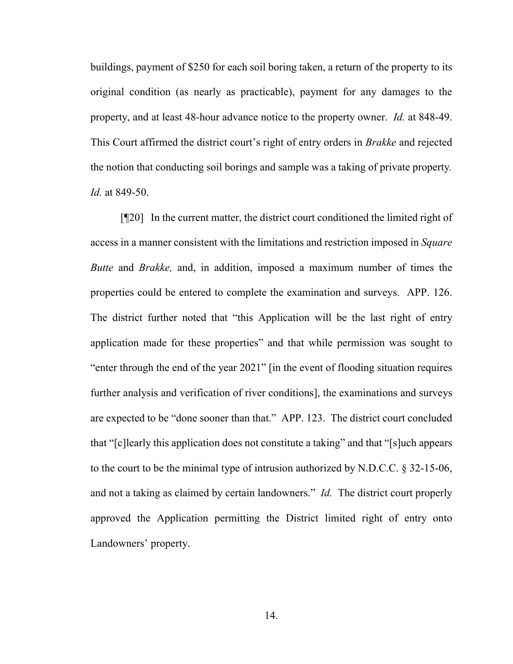buildings, payment of \$250 for each soil boring taken, a return of the property to its original condition (as nearly as practicable), payment for any damages to the property, and at least 48-hour advance notice to the property owner. *Id.* at 848-49. This Court affirmed the district court's right of entry orders in *Brakke* and rejected the notion that conducting soil borings and sample was a taking of private property*. Id.* at 849-50.

[¶20] In the current matter, the district court conditioned the limited right of access in a manner consistent with the limitations and restriction imposed in *Square Butte* and *Brakke,* and, in addition, imposed a maximum number of times the properties could be entered to complete the examination and surveys. APP. 126. The district further noted that "this Application will be the last right of entry application made for these properties" and that while permission was sought to "enter through the end of the year 2021" [in the event of flooding situation requires further analysis and verification of river conditions], the examinations and surveys are expected to be "done sooner than that." APP. 123. The district court concluded that "[c]learly this application does not constitute a taking" and that "[s]uch appears to the court to be the minimal type of intrusion authorized by N.D.C.C. § 32-15-06, and not a taking as claimed by certain landowners." *Id.* The district court properly approved the Application permitting the District limited right of entry onto Landowners' property.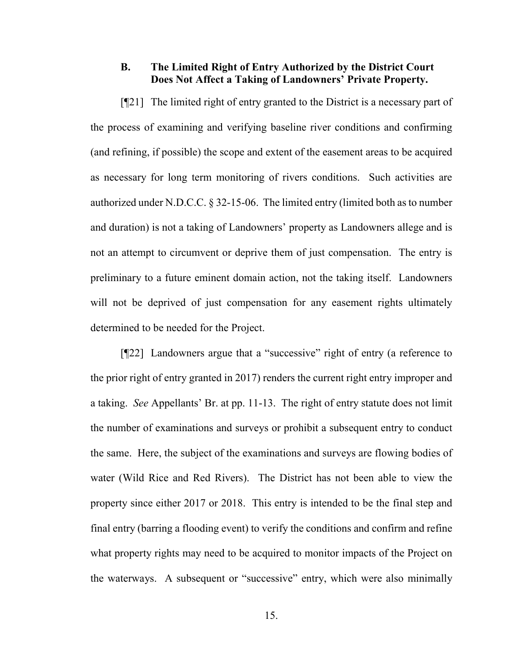## **B. The Limited Right of Entry Authorized by the District Court Does Not Affect a Taking of Landowners' Private Property.**

[¶21] The limited right of entry granted to the District is a necessary part of the process of examining and verifying baseline river conditions and confirming (and refining, if possible) the scope and extent of the easement areas to be acquired as necessary for long term monitoring of rivers conditions. Such activities are authorized under N.D.C.C. § 32-15-06. The limited entry (limited both as to number and duration) is not a taking of Landowners' property as Landowners allege and is not an attempt to circumvent or deprive them of just compensation. The entry is preliminary to a future eminent domain action, not the taking itself. Landowners will not be deprived of just compensation for any easement rights ultimately determined to be needed for the Project.

[¶22] Landowners argue that a "successive" right of entry (a reference to the prior right of entry granted in 2017) renders the current right entry improper and a taking. *See* Appellants' Br. at pp. 11-13. The right of entry statute does not limit the number of examinations and surveys or prohibit a subsequent entry to conduct the same. Here, the subject of the examinations and surveys are flowing bodies of water (Wild Rice and Red Rivers). The District has not been able to view the property since either 2017 or 2018. This entry is intended to be the final step and final entry (barring a flooding event) to verify the conditions and confirm and refine what property rights may need to be acquired to monitor impacts of the Project on the waterways. A subsequent or "successive" entry, which were also minimally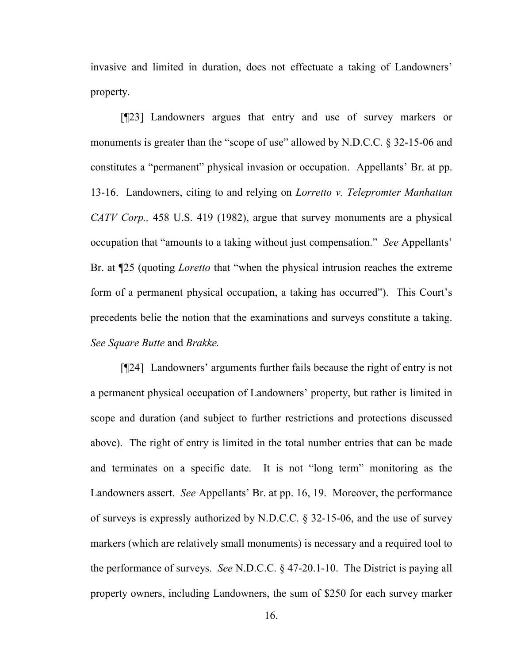invasive and limited in duration, does not effectuate a taking of Landowners' property.

[¶23] Landowners argues that entry and use of survey markers or monuments is greater than the "scope of use" allowed by N.D.C.C. § 32-15-06 and constitutes a "permanent" physical invasion or occupation. Appellants' Br. at pp. 13-16. Landowners, citing to and relying on *Lorretto v. Telepromter Manhattan CATV Corp.,* 458 U.S. 419 (1982), argue that survey monuments are a physical occupation that "amounts to a taking without just compensation." *See* Appellants' Br. at ¶25 (quoting *Loretto* that "when the physical intrusion reaches the extreme form of a permanent physical occupation, a taking has occurred"). This Court's precedents belie the notion that the examinations and surveys constitute a taking. *See Square Butte* and *Brakke.*

[¶24] Landowners' arguments further fails because the right of entry is not a permanent physical occupation of Landowners' property, but rather is limited in scope and duration (and subject to further restrictions and protections discussed above). The right of entry is limited in the total number entries that can be made and terminates on a specific date. It is not "long term" monitoring as the Landowners assert. *See* Appellants' Br. at pp. 16, 19. Moreover, the performance of surveys is expressly authorized by N.D.C.C. § 32-15-06, and the use of survey markers (which are relatively small monuments) is necessary and a required tool to the performance of surveys. *See* N.D.C.C. § 47-20.1-10. The District is paying all property owners, including Landowners, the sum of \$250 for each survey marker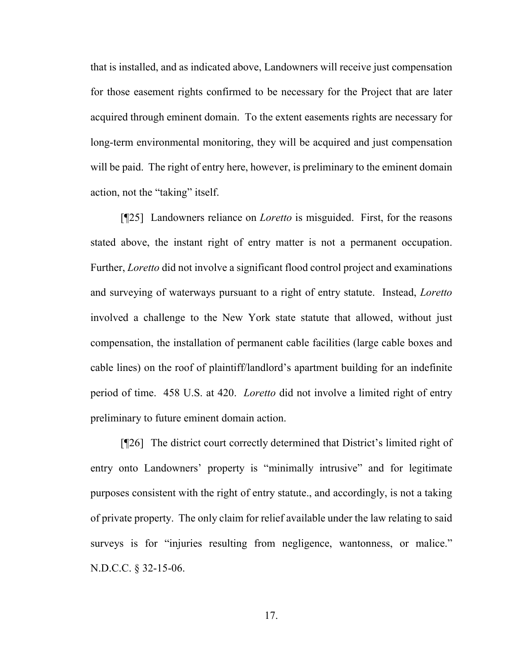that is installed, and as indicated above, Landowners will receive just compensation for those easement rights confirmed to be necessary for the Project that are later acquired through eminent domain. To the extent easements rights are necessary for long-term environmental monitoring, they will be acquired and just compensation will be paid. The right of entry here, however, is preliminary to the eminent domain action, not the "taking" itself.

[¶25] Landowners reliance on *Loretto* is misguided. First, for the reasons stated above, the instant right of entry matter is not a permanent occupation. Further, *Loretto* did not involve a significant flood control project and examinations and surveying of waterways pursuant to a right of entry statute. Instead, *Loretto*  involved a challenge to the New York state statute that allowed, without just compensation, the installation of permanent cable facilities (large cable boxes and cable lines) on the roof of plaintiff/landlord's apartment building for an indefinite period of time. 458 U.S. at 420. *Loretto* did not involve a limited right of entry preliminary to future eminent domain action.

[¶26] The district court correctly determined that District's limited right of entry onto Landowners' property is "minimally intrusive" and for legitimate purposes consistent with the right of entry statute., and accordingly, is not a taking of private property. The only claim for relief available under the law relating to said surveys is for "injuries resulting from negligence, wantonness, or malice." N.D.C.C. § 32-15-06.

17.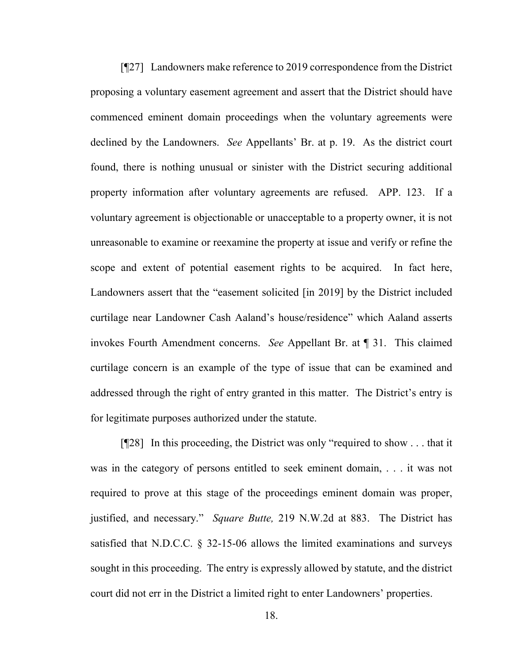[¶27] Landowners make reference to 2019 correspondence from the District proposing a voluntary easement agreement and assert that the District should have commenced eminent domain proceedings when the voluntary agreements were declined by the Landowners. *See* Appellants' Br. at p. 19. As the district court found, there is nothing unusual or sinister with the District securing additional property information after voluntary agreements are refused. APP. 123. If a voluntary agreement is objectionable or unacceptable to a property owner, it is not unreasonable to examine or reexamine the property at issue and verify or refine the scope and extent of potential easement rights to be acquired. In fact here, Landowners assert that the "easement solicited [in 2019] by the District included curtilage near Landowner Cash Aaland's house/residence" which Aaland asserts invokes Fourth Amendment concerns. *See* Appellant Br. at ¶ 31. This claimed curtilage concern is an example of the type of issue that can be examined and addressed through the right of entry granted in this matter. The District's entry is for legitimate purposes authorized under the statute.

[¶28] In this proceeding, the District was only "required to show . . . that it was in the category of persons entitled to seek eminent domain, . . . it was not required to prove at this stage of the proceedings eminent domain was proper, justified, and necessary." *Square Butte,* 219 N.W.2d at 883. The District has satisfied that N.D.C.C. § 32-15-06 allows the limited examinations and surveys sought in this proceeding. The entry is expressly allowed by statute, and the district court did not err in the District a limited right to enter Landowners' properties.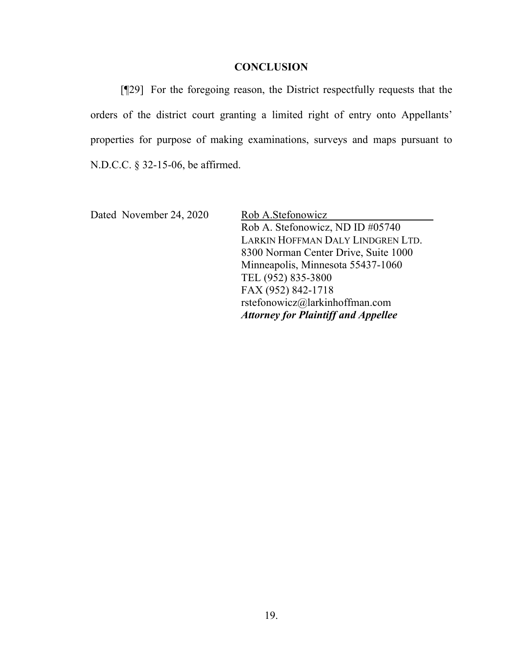#### **CONCLUSION**

[¶29] For the foregoing reason, the District respectfully requests that the orders of the district court granting a limited right of entry onto Appellants' properties for purpose of making examinations, surveys and maps pursuant to N.D.C.C. § 32-15-06, be affirmed.

Dated November 24, 2020 Rob A.Stefonowicz Rob A. Stefonowicz, ND ID #05740 LARKIN HOFFMAN DALY LINDGREN LTD. 8300 Norman Center Drive, Suite 1000 Minneapolis, Minnesota 55437-1060 TEL (952) 835-3800 FAX (952) 842-1718 rstefonowicz@larkinhoffman.com *Attorney for Plaintiff and Appellee*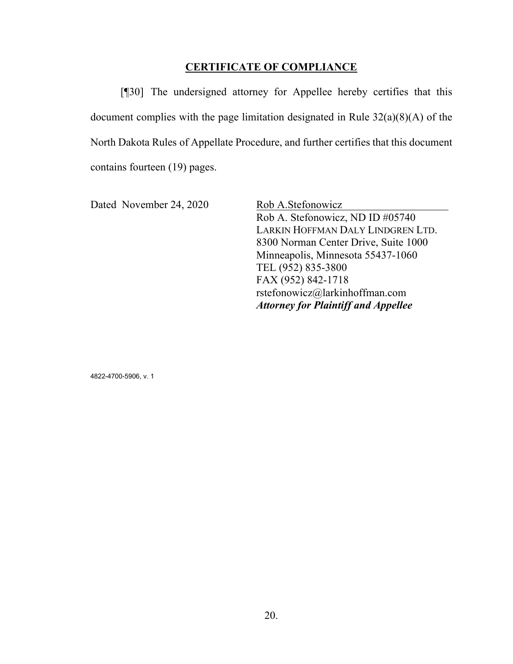## **CERTIFICATE OF COMPLIANCE**

[¶30] The undersigned attorney for Appellee hereby certifies that this document complies with the page limitation designated in Rule 32(a)(8)(A) of the North Dakota Rules of Appellate Procedure, and further certifies that this document contains fourteen (19) pages.

Dated November 24, 2020 Rob A.Stefonowicz

Rob A. Stefonowicz, ND ID #05740 LARKIN HOFFMAN DALY LINDGREN LTD. 8300 Norman Center Drive, Suite 1000 Minneapolis, Minnesota 55437-1060 TEL (952) 835-3800 FAX (952) 842-1718 rstefonowicz@larkinhoffman.com *Attorney for Plaintiff and Appellee*

4822-4700-5906, v. 1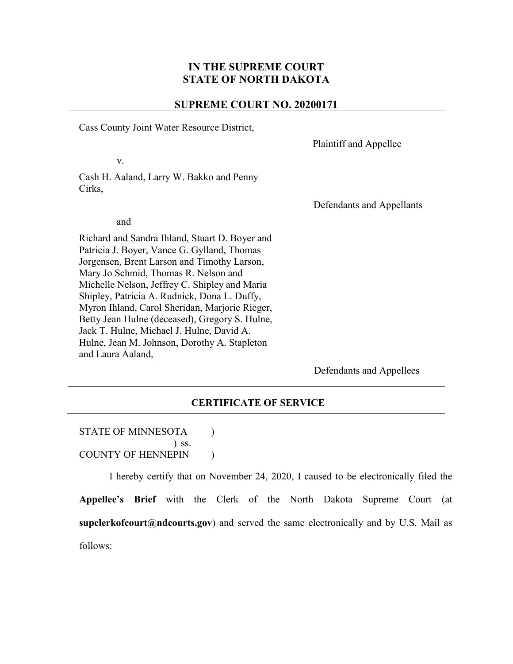### **IN THE SUPREME COURT STATE OF NORTH DAKOTA**

#### **SUPREME COURT NO. 20200171**

Cass County Joint Water Resource District,

Plaintiff and Appellee

Cash H. Aaland, Larry W. Bakko and Penny Cirks,

Defendants and Appellants

and

v.

Richard and Sandra Ihland, Stuart D. Boyer and Patricia J. Boyer, Vance G. Gylland, Thomas Jorgensen, Brent Larson and Timothy Larson, Mary Jo Schmid, Thomas R. Nelson and Michelle Nelson, Jeffrey C. Shipley and Maria Shipley, Patricia A. Rudnick, Dona L. Duffy, Myron Ihland, Carol Sheridan, Marjorie Rieger, Betty Jean Hulne (deceased), Gregory S. Hulne, Jack T. Hulne, Michael J. Hulne, David A. Hulne, Jean M. Johnson, Dorothy A. Stapleton and Laura Aaland,

Defendants and Appellees

#### **CERTIFICATE OF SERVICE**

#### STATE OF MINNESOTA (1) ) ss. COUNTY OF HENNEPIN (1)

I hereby certify that on November 24, 2020, I caused to be electronically filed the **Appellee's Brief** with the Clerk of the North Dakota Supreme Court (at **[supclerkofcourt@ndcourts.gov](mailto:supclerkofcourt@ndcourts.gov)**) and served the same electronically and by U.S. Mail as follows: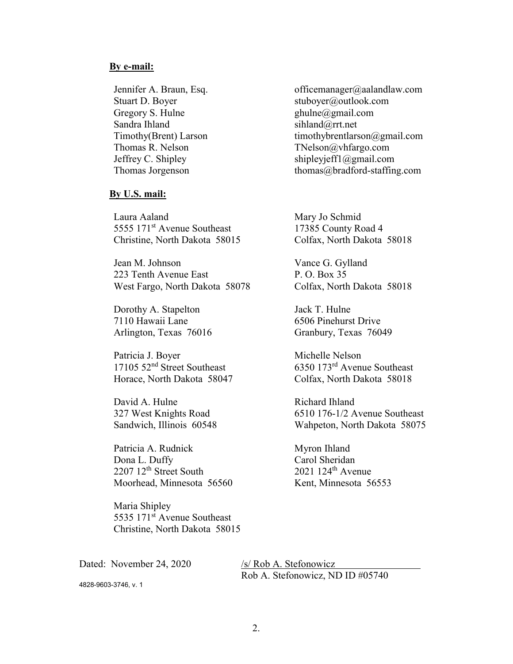#### **By e-mail:**

Gregory S. Hulne ghulne ghulne ghulne ghulne ghulne ghulne ghulne ghulne ghulne ghulne ghulne ghulne ghulne ghulne ghulne ghulne ghulne ghulne ghulne ghulne ghulne ghulne ghulne ghulne ghulne ghulne ghulne ghulne ghulne gh Sandra Ihland sihland sihland sihland sihland sihland sihland sihland sihland sihland sihland sihland sihland sihland sihland sihland sihland sihland sihland sihland sihland sihland sihland sihland sihland sihland sihland

#### **By U.S. mail:**

Laura Aaland 5555 171st Avenue Southeast Christine, North Dakota 58015

Jean M. Johnson 223 Tenth Avenue East West Fargo, North Dakota 58078

Dorothy A. Stapelton 7110 Hawaii Lane Arlington, Texas 76016

Patricia J. Boyer 17105 52nd Street Southeast Horace, North Dakota 58047

David A. Hulne 327 West Knights Road Sandwich, Illinois 60548

Patricia A. Rudnick Dona L. Duffy 2207 12<sup>th</sup> Street South Moorhead, Minnesota 56560

Maria Shipley 5535 171st Avenue Southeast Christine, North Dakota 58015

Dated: November 24, 2020 /s/ Rob A. Stefonowicz

Jennifer A. Braun, Esq. etc. and the [officemanager@aalandlaw.com](mailto:officemanager@aalandlaw.com) Stuart D. Boyer [stuboyer@outlook.com](mailto:stuboyer@outlook.com) Timothy(Brent) Larson [timothybrentlarson@gmail.com](mailto:timothybrentlarson@gmail.com) Thomas R. Nelson TNelson TNelson TNelson TNelson TNelson and TNelson Com Jeffrey C. Shipley [shipleyjeff1@gmail.com](mailto:shipleyjeff1@gmail.com) Thomas Jorgenson thomas about thomas about thomas about thomas about the mass as thomas about the mass and thomas about the mass and the mass about the mass about the mass about the mass about the mass about the mass about

> Mary Jo Schmid 17385 County Road 4 Colfax, North Dakota 58018

> Vance G. Gylland P. O. Box 35 Colfax, North Dakota 58018

Jack T. Hulne 6506 Pinehurst Drive Granbury, Texas 76049

Michelle Nelson 6350 173rd Avenue Southeast Colfax, North Dakota 58018

Richard Ihland 6510 176-1/2 Avenue Southeast Wahpeton, North Dakota 58075

Myron Ihland Carol Sheridan 2021 124th Avenue Kent, Minnesota 56553

Rob A. Stefonowicz, ND ID #05740

4828-9603-3746, v. 1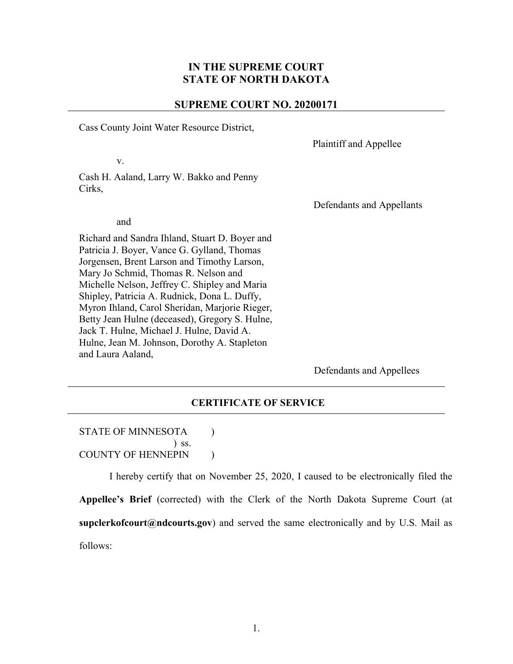### **IN THE SUPREME COURT STATE OF NORTH DAKOTA**

#### **SUPREME COURT NO. 20200171**

Cass County Joint Water Resource District,

Plaintiff and Appellee

Cash H. Aaland, Larry W. Bakko and Penny Cirks,

Defendants and Appellants

and

v.

Richard and Sandra Ihland, Stuart D. Boyer and Patricia J. Boyer, Vance G. Gylland, Thomas Jorgensen, Brent Larson and Timothy Larson, Mary Jo Schmid, Thomas R. Nelson and Michelle Nelson, Jeffrey C. Shipley and Maria Shipley, Patricia A. Rudnick, Dona L. Duffy, Myron Ihland, Carol Sheridan, Marjorie Rieger, Betty Jean Hulne (deceased), Gregory S. Hulne, Jack T. Hulne, Michael J. Hulne, David A. Hulne, Jean M. Johnson, Dorothy A. Stapleton and Laura Aaland,

Defendants and Appellees

#### **CERTIFICATE OF SERVICE**

#### STATE OF MINNESOTA (1) ) ss. COUNTY OF HENNEPIN (1)

I hereby certify that on November 25, 2020, I caused to be electronically filed the **Appellee's Brief** (corrected) with the Clerk of the North Dakota Supreme Court (at **[supclerkofcourt@ndcourts.gov](mailto:supclerkofcourt@ndcourts.gov)**) and served the same electronically and by U.S. Mail as follows: